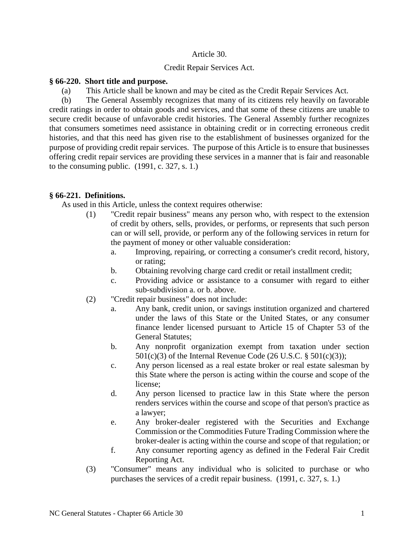## Article 30.

## Credit Repair Services Act.

## **§ 66-220. Short title and purpose.**

(a) This Article shall be known and may be cited as the Credit Repair Services Act.

(b) The General Assembly recognizes that many of its citizens rely heavily on favorable credit ratings in order to obtain goods and services, and that some of these citizens are unable to secure credit because of unfavorable credit histories. The General Assembly further recognizes that consumers sometimes need assistance in obtaining credit or in correcting erroneous credit histories, and that this need has given rise to the establishment of businesses organized for the purpose of providing credit repair services. The purpose of this Article is to ensure that businesses offering credit repair services are providing these services in a manner that is fair and reasonable to the consuming public. (1991, c. 327, s. 1.)

# **§ 66-221. Definitions.**

As used in this Article, unless the context requires otherwise:

- (1) "Credit repair business" means any person who, with respect to the extension of credit by others, sells, provides, or performs, or represents that such person can or will sell, provide, or perform any of the following services in return for the payment of money or other valuable consideration:
	- a. Improving, repairing, or correcting a consumer's credit record, history, or rating;
	- b. Obtaining revolving charge card credit or retail installment credit;
	- c. Providing advice or assistance to a consumer with regard to either sub-subdivision a. or b. above.
- (2) "Credit repair business" does not include:
	- a. Any bank, credit union, or savings institution organized and chartered under the laws of this State or the United States, or any consumer finance lender licensed pursuant to Article 15 of Chapter 53 of the General Statutes;
	- b. Any nonprofit organization exempt from taxation under section  $501(c)(3)$  of the Internal Revenue Code (26 U.S.C. §  $501(c)(3)$ );
	- c. Any person licensed as a real estate broker or real estate salesman by this State where the person is acting within the course and scope of the license;
	- d. Any person licensed to practice law in this State where the person renders services within the course and scope of that person's practice as a lawyer;
	- e. Any broker-dealer registered with the Securities and Exchange Commission or the Commodities Future Trading Commission where the broker-dealer is acting within the course and scope of that regulation; or
	- f. Any consumer reporting agency as defined in the Federal Fair Credit Reporting Act.
- (3) "Consumer" means any individual who is solicited to purchase or who purchases the services of a credit repair business. (1991, c. 327, s. 1.)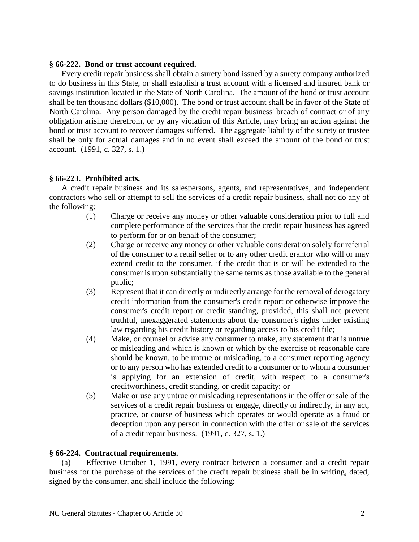#### **§ 66-222. Bond or trust account required.**

Every credit repair business shall obtain a surety bond issued by a surety company authorized to do business in this State, or shall establish a trust account with a licensed and insured bank or savings institution located in the State of North Carolina. The amount of the bond or trust account shall be ten thousand dollars (\$10,000). The bond or trust account shall be in favor of the State of North Carolina. Any person damaged by the credit repair business' breach of contract or of any obligation arising therefrom, or by any violation of this Article, may bring an action against the bond or trust account to recover damages suffered. The aggregate liability of the surety or trustee shall be only for actual damages and in no event shall exceed the amount of the bond or trust account. (1991, c. 327, s. 1.)

## **§ 66-223. Prohibited acts.**

A credit repair business and its salespersons, agents, and representatives, and independent contractors who sell or attempt to sell the services of a credit repair business, shall not do any of the following:

- (1) Charge or receive any money or other valuable consideration prior to full and complete performance of the services that the credit repair business has agreed to perform for or on behalf of the consumer;
- (2) Charge or receive any money or other valuable consideration solely for referral of the consumer to a retail seller or to any other credit grantor who will or may extend credit to the consumer, if the credit that is or will be extended to the consumer is upon substantially the same terms as those available to the general public;
- (3) Represent that it can directly or indirectly arrange for the removal of derogatory credit information from the consumer's credit report or otherwise improve the consumer's credit report or credit standing, provided, this shall not prevent truthful, unexaggerated statements about the consumer's rights under existing law regarding his credit history or regarding access to his credit file;
- (4) Make, or counsel or advise any consumer to make, any statement that is untrue or misleading and which is known or which by the exercise of reasonable care should be known, to be untrue or misleading, to a consumer reporting agency or to any person who has extended credit to a consumer or to whom a consumer is applying for an extension of credit, with respect to a consumer's creditworthiness, credit standing, or credit capacity; or
- (5) Make or use any untrue or misleading representations in the offer or sale of the services of a credit repair business or engage, directly or indirectly, in any act, practice, or course of business which operates or would operate as a fraud or deception upon any person in connection with the offer or sale of the services of a credit repair business. (1991, c. 327, s. 1.)

## **§ 66-224. Contractual requirements.**

(a) Effective October 1, 1991, every contract between a consumer and a credit repair business for the purchase of the services of the credit repair business shall be in writing, dated, signed by the consumer, and shall include the following: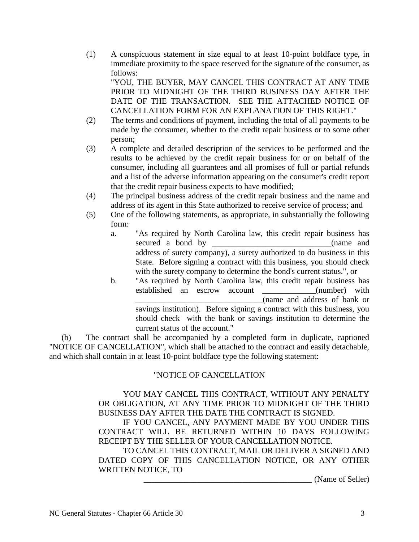(1) A conspicuous statement in size equal to at least 10-point boldface type, in immediate proximity to the space reserved for the signature of the consumer, as follows:

"YOU, THE BUYER, MAY CANCEL THIS CONTRACT AT ANY TIME PRIOR TO MIDNIGHT OF THE THIRD BUSINESS DAY AFTER THE DATE OF THE TRANSACTION. SEE THE ATTACHED NOTICE OF CANCELLATION FORM FOR AN EXPLANATION OF THIS RIGHT."

- (2) The terms and conditions of payment, including the total of all payments to be made by the consumer, whether to the credit repair business or to some other person;
- (3) A complete and detailed description of the services to be performed and the results to be achieved by the credit repair business for or on behalf of the consumer, including all guarantees and all promises of full or partial refunds and a list of the adverse information appearing on the consumer's credit report that the credit repair business expects to have modified;
- (4) The principal business address of the credit repair business and the name and address of its agent in this State authorized to receive service of process; and
- (5) One of the following statements, as appropriate, in substantially the following form:
	- a. "As required by North Carolina law, this credit repair business has secured a bond by \_\_\_\_\_\_\_\_\_\_\_\_\_\_\_\_\_\_\_\_\_\_\_\_\_\_\_\_\_(name and address of surety company), a surety authorized to do business in this State. Before signing a contract with this business, you should check with the surety company to determine the bond's current status.", or
	- b. "As required by North Carolina law, this credit repair business has established an escrow account (number) with \_\_\_\_\_\_\_\_\_\_\_\_\_\_\_\_\_\_\_\_\_\_\_\_\_\_\_\_\_\_\_(name and address of bank or savings institution). Before signing a contract with this business, you should check with the bank or savings institution to determine the current status of the account."

(b) The contract shall be accompanied by a completed form in duplicate, captioned "NOTICE OF CANCELLATION", which shall be attached to the contract and easily detachable, and which shall contain in at least 10-point boldface type the following statement:

# "NOTICE OF CANCELLATION

## YOU MAY CANCEL THIS CONTRACT, WITHOUT ANY PENALTY OR OBLIGATION, AT ANY TIME PRIOR TO MIDNIGHT OF THE THIRD BUSINESS DAY AFTER THE DATE THE CONTRACT IS SIGNED.

IF YOU CANCEL, ANY PAYMENT MADE BY YOU UNDER THIS CONTRACT WILL BE RETURNED WITHIN 10 DAYS FOLLOWING RECEIPT BY THE SELLER OF YOUR CANCELLATION NOTICE.

TO CANCEL THIS CONTRACT, MAIL OR DELIVER A SIGNED AND DATED COPY OF THIS CANCELLATION NOTICE, OR ANY OTHER WRITTEN NOTICE, TO

(Name of Seller)